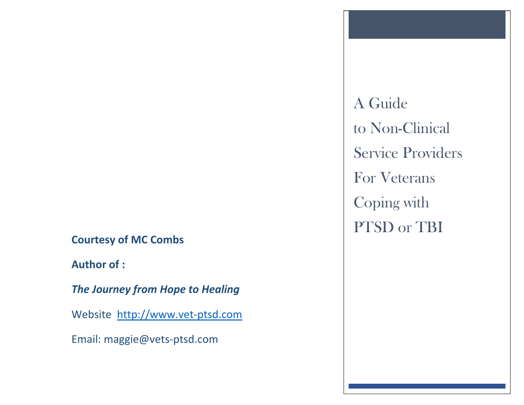**Courtesy of MC Combs**

**Author of :**

*The Journey from Hope to Healing*

Website [http://www.vet-ptsd.com](http://www.vet-ptsd.com/)

Email: maggie@vets-ptsd.com

A Guide to Non-Clinical Service Providers For Veterans Coping with PTSD or TBI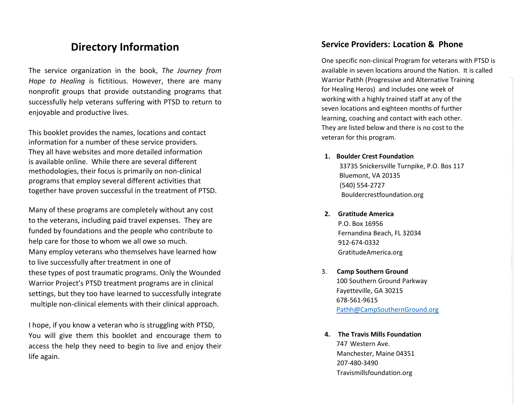# **Directory Information**

The service organization in the book, *The Journey from Hope to Healing* is fictitious. However, there are many nonprofit groups that provide outstanding programs that successfully help veterans suffering with PTSD to return to enjoyable and productive lives.

This booklet provides the names, locations and contact information for a number of these service providers. They all have websites and more detailed information is available online. While there are several different methodologies, their focus is primarily on non -clinical programs that employ several different activities that together have proven successful in the treatment of PTSD.

Many of these programs are completely without any cost to the veterans, including paid travel expenses. They are funded by foundations and the people who contribute to help care for those to whom we all owe so much. Many employ veterans who themselves have learned how to live successfully after treatment in one of these types of post traumatic programs. Only the Wounded Warrior Project's PTSD treatment programs are in clinical settings, but they too have learned to successfully integrate multiple non -clinical elements with their clinical approach.

I hope, if you know a veteran who is struggling with PTSD, You will give them this booklet and encourage them to access the help they need to begin to live and enjoy their life again.

## **Service Providers : Location & Phone**

One specific non -clinical Program for veterans with PTSD is available in seven locations around the Nation. It is called Warrior Pathh (Progressive and Alternative Training for Healing Heros) and includes one week of working with a highly trained staff at any of the seven locations and eighteen months of further learning, coaching and contact with each other. They are listed below and there is no cost to the veteran for this program.

### **1. Boulder Crest Foundation**

33735 Snickersville Turnpike, P.O. Bos 117 Bluemont, VA 20135 (540) 554 -2727 Bouldercrestfoundation.org

#### **2. Gratitude America**

P.O. Box 16956 Fernandina Beach, FL 32034 912 -674 -0332 GratitudeAmerica.org

- 3. **Camp Southern Ground** 100 Southern Ground Parkway Fayetteville, GA 30215 678 -561 -9615 [Pathh@CampSouthernGround.org](mailto:Pathh@CampSouthernGround.org)
- **4. The Travis Mills Foundation** 747 Western Ave. Manchester, Maine 04351 207 -480 -3490 Travismillsfoundation.org